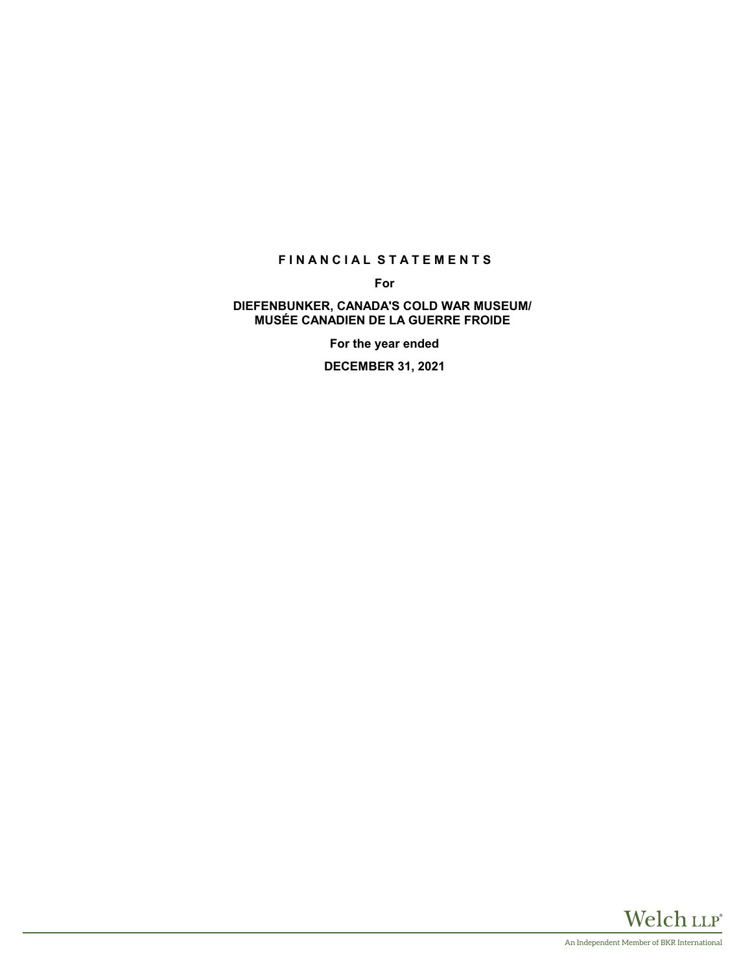# **FINANCIAL STATEMENTS**

**For**

## **DIEFENBUNKER, CANADA'S COLD WAR MUSEUM/ MUSÉE CANADIEN DE LA GUERRE FROIDE**

**For the year ended**

**DECEMBER 31, 2021**

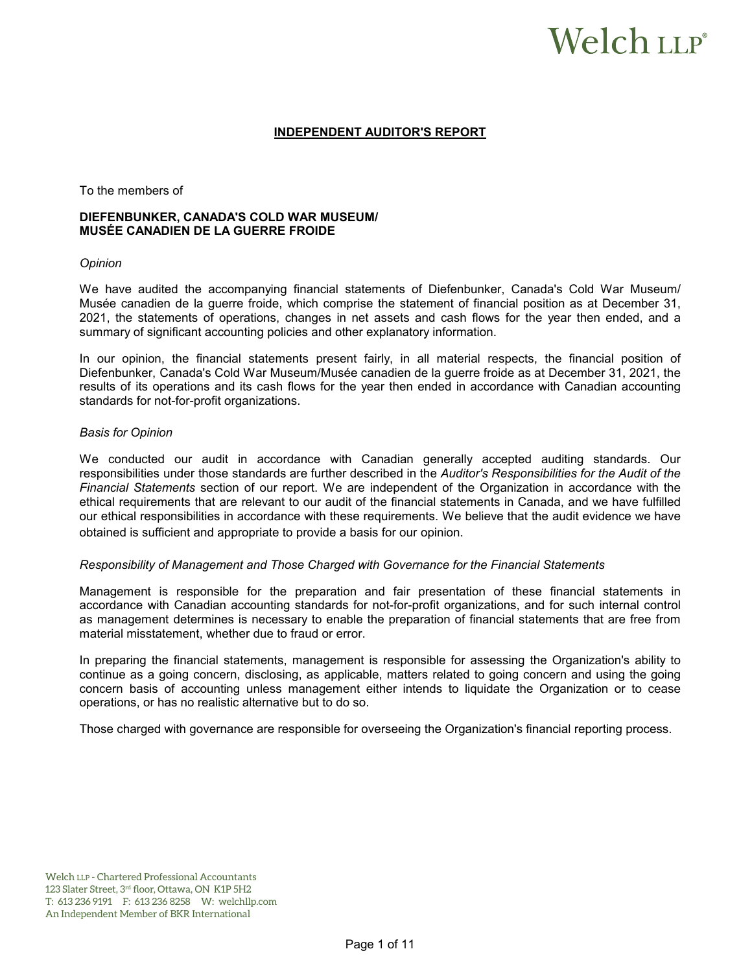# Welch LLP®

## **INDEPENDENT AUDITOR'S REPORT**

To the members of

## **DIEFENBUNKER, CANADA'S COLD WAR MUSEUM/ MUSÉE CANADIEN DE LA GUERRE FROIDE**

#### *Opinion*

We have audited the accompanying financial statements of Diefenbunker, Canada's Cold War Museum/ Musée canadien de la guerre froide, which comprise the statement of financial position as at December 31, 2021, the statements of operations, changes in net assets and cash flows for the year then ended, and a summary of significant accounting policies and other explanatory information.

In our opinion, the financial statements present fairly, in all material respects, the financial position of Diefenbunker, Canada's Cold War Museum/Musée canadien de la guerre froide as at December 31, 2021, the results of its operations and its cash flows for the year then ended in accordance with Canadian accounting standards for not-for-profit organizations.

## *Basis for Opinion*

We conducted our audit in accordance with Canadian generally accepted auditing standards. Our responsibilities under those standards are further described in the *Auditor's Responsibilities for the Audit of the Financial Statements* section of our report. We are independent of the Organization in accordance with the ethical requirements that are relevant to our audit of the financial statements in Canada, and we have fulfilled our ethical responsibilities in accordance with these requirements. We believe that the audit evidence we have obtained is sufficient and appropriate to provide a basis for our opinion.

#### *Responsibility of Management and Those Charged with Governance for the Financial Statements*

Management is responsible for the preparation and fair presentation of these financial statements in accordance with Canadian accounting standards for not-for-profit organizations, and for such internal control as management determines is necessary to enable the preparation of financial statements that are free from material misstatement, whether due to fraud or error.

In preparing the financial statements, management is responsible for assessing the Organization's ability to continue as a going concern, disclosing, as applicable, matters related to going concern and using the going concern basis of accounting unless management either intends to liquidate the Organization or to cease operations, or has no realistic alternative but to do so.

Those charged with governance are responsible for overseeing the Organization's financial reporting process.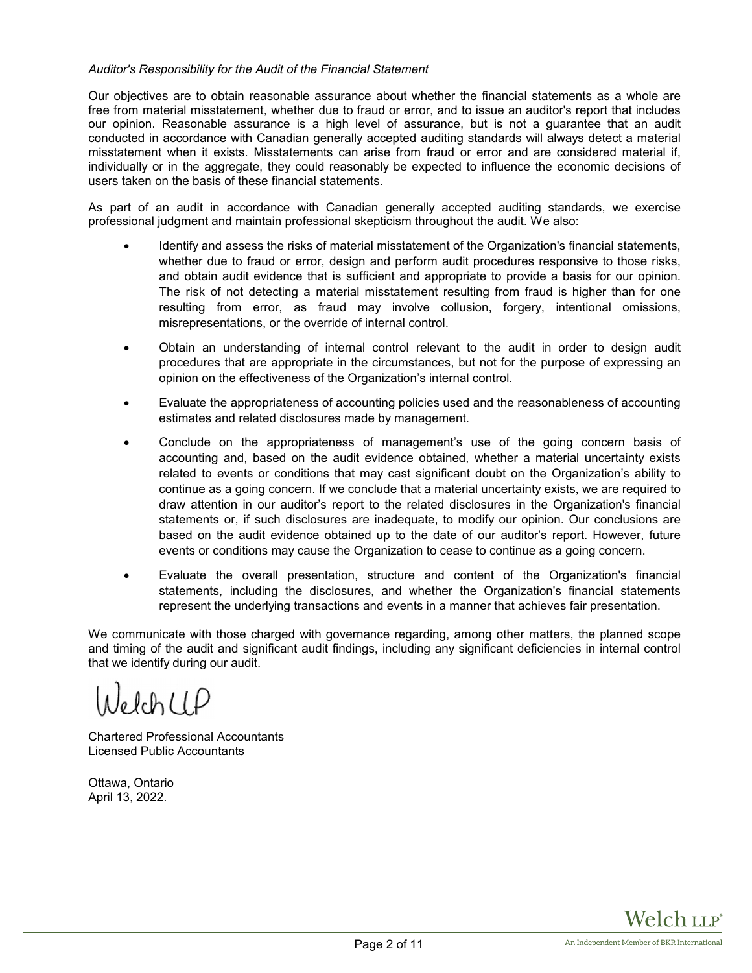## *Auditor's Responsibility for the Audit of the Financial Statement*

Our objectives are to obtain reasonable assurance about whether the financial statements as a whole are free from material misstatement, whether due to fraud or error, and to issue an auditor's report that includes our opinion. Reasonable assurance is a high level of assurance, but is not a guarantee that an audit conducted in accordance with Canadian generally accepted auditing standards will always detect a material misstatement when it exists. Misstatements can arise from fraud or error and are considered material if, individually or in the aggregate, they could reasonably be expected to influence the economic decisions of users taken on the basis of these financial statements.

As part of an audit in accordance with Canadian generally accepted auditing standards, we exercise professional judgment and maintain professional skepticism throughout the audit. We also:

- Identify and assess the risks of material misstatement of the Organization's financial statements, whether due to fraud or error, design and perform audit procedures responsive to those risks, and obtain audit evidence that is sufficient and appropriate to provide a basis for our opinion. The risk of not detecting a material misstatement resulting from fraud is higher than for one resulting from error, as fraud may involve collusion, forgery, intentional omissions, misrepresentations, or the override of internal control.
- Obtain an understanding of internal control relevant to the audit in order to design audit procedures that are appropriate in the circumstances, but not for the purpose of expressing an opinion on the effectiveness of the Organization's internal control.
- Evaluate the appropriateness of accounting policies used and the reasonableness of accounting estimates and related disclosures made by management.
- Conclude on the appropriateness of management's use of the going concern basis of accounting and, based on the audit evidence obtained, whether a material uncertainty exists related to events or conditions that may cast significant doubt on the Organization's ability to continue as a going concern. If we conclude that a material uncertainty exists, we are required to draw attention in our auditor's report to the related disclosures in the Organization's financial statements or, if such disclosures are inadequate, to modify our opinion. Our conclusions are based on the audit evidence obtained up to the date of our auditor's report. However, future events or conditions may cause the Organization to cease to continue as a going concern.
- Evaluate the overall presentation, structure and content of the Organization's financial statements, including the disclosures, and whether the Organization's financial statements represent the underlying transactions and events in a manner that achieves fair presentation.

We communicate with those charged with governance regarding, among other matters, the planned scope and timing of the audit and significant audit findings, including any significant deficiencies in internal control that we identify during our audit.

 $J_0$  lch  $l$   $l$   $D$ 

Chartered Professional Accountants Licensed Public Accountants

Ottawa, Ontario April 13, 2022.

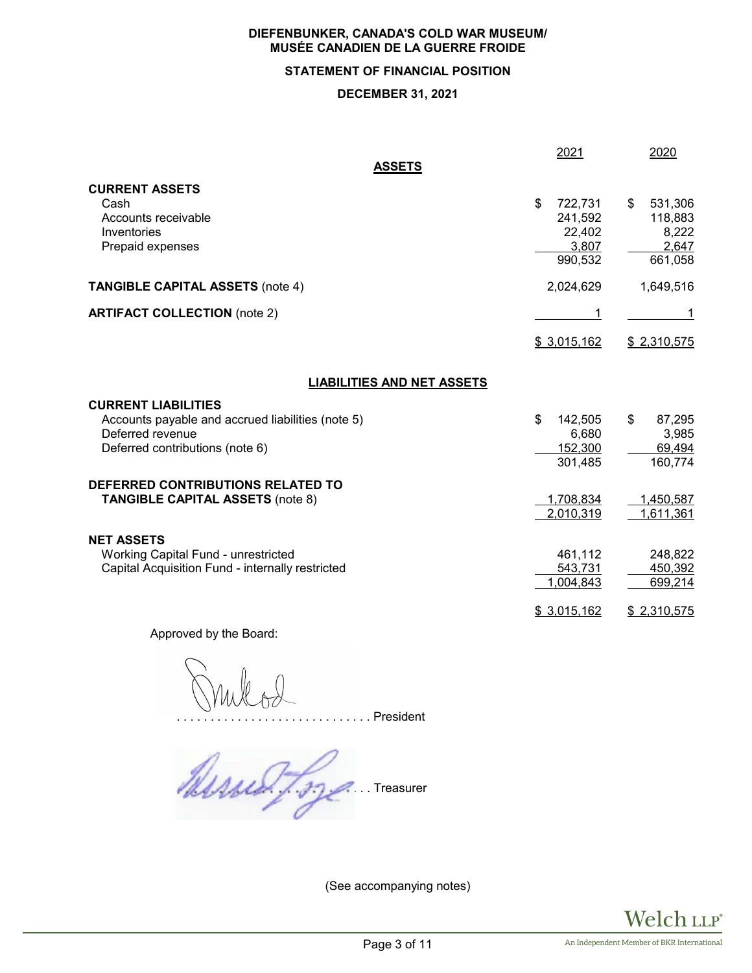# **STATEMENT OF FINANCIAL POSITION**

# **DECEMBER 31, 2021**

|                                                   | 2021             | 2020             |
|---------------------------------------------------|------------------|------------------|
| <b>ASSETS</b>                                     |                  |                  |
| <b>CURRENT ASSETS</b>                             |                  |                  |
| Cash                                              | \$<br>722,731    | \$<br>531,306    |
| Accounts receivable                               | 241,592          | 118,883          |
| Inventories                                       | 22,402           | 8,222            |
| Prepaid expenses                                  | 3,807<br>990,532 | 2,647<br>661,058 |
|                                                   |                  |                  |
| <b>TANGIBLE CAPITAL ASSETS (note 4)</b>           | 2,024,629        | 1,649,516        |
| <b>ARTIFACT COLLECTION (note 2)</b>               |                  |                  |
|                                                   | \$3,015,162      | \$2,310,575      |
| <b>LIABILITIES AND NET ASSETS</b>                 |                  |                  |
| <b>CURRENT LIABILITIES</b>                        |                  |                  |
| Accounts payable and accrued liabilities (note 5) | \$<br>142,505    | \$<br>87,295     |
| Deferred revenue                                  | 6,680            | 3,985            |
| Deferred contributions (note 6)                   | 152,300          | 69,494           |
|                                                   | 301,485          | 160,774          |
| DEFERRED CONTRIBUTIONS RELATED TO                 |                  |                  |
| <b>TANGIBLE CAPITAL ASSETS (note 8)</b>           | 1,708,834        | 1,450,587        |
|                                                   | 2,010,319        | 1,611,361        |
|                                                   |                  |                  |
| <b>NET ASSETS</b>                                 |                  |                  |
| Working Capital Fund - unrestricted               | 461,112          | 248,822          |
| Capital Acquisition Fund - internally restricted  | 543,731          | 450,392          |
|                                                   | 1,004,843        | 699,214          |
|                                                   | \$3,015,162      | \$2,310,575      |

Approved by the Board:

. . . . . . . . . . . . . . . . . . . . . . . . . . . . . President

 $\mathcal{A}$ 

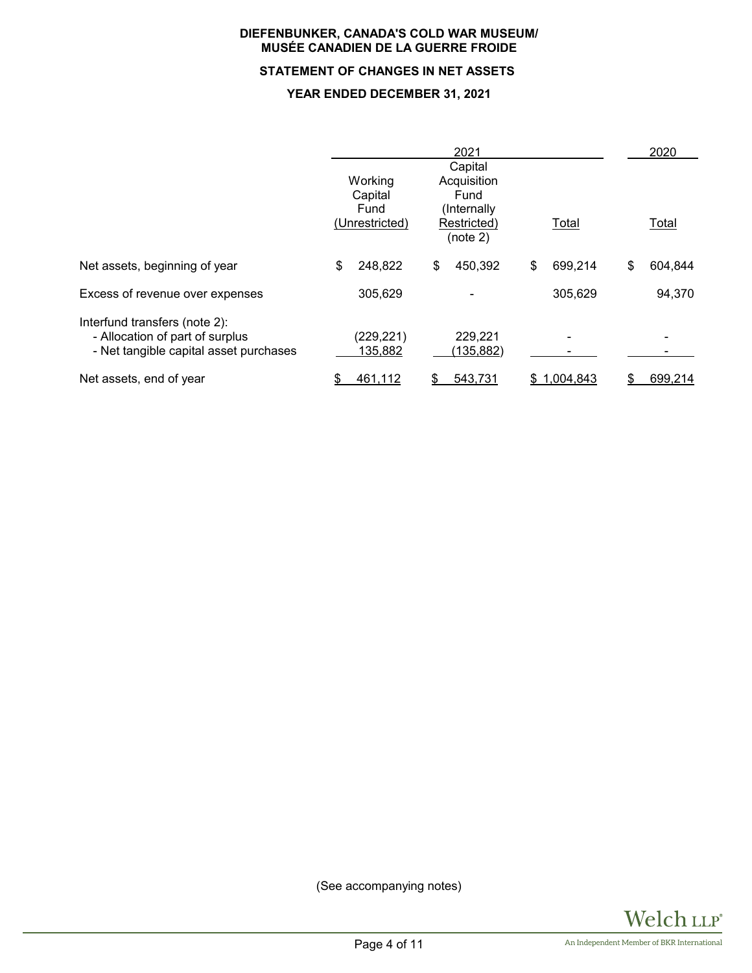# **STATEMENT OF CHANGES IN NET ASSETS**

## **YEAR ENDED DECEMBER 31, 2021**

|                                                                                                            | Working<br>Capital<br>Fund | 2021<br>Capital<br>Acquisition<br>Fund<br>(Internally) |              | 2020          |
|------------------------------------------------------------------------------------------------------------|----------------------------|--------------------------------------------------------|--------------|---------------|
|                                                                                                            | (Unrestricted)             | Restricted)<br>(note 2)                                | Total        | Total         |
| Net assets, beginning of year                                                                              | \$<br>248,822              | 450,392<br>\$                                          | 699,214<br>S | \$<br>604,844 |
| Excess of revenue over expenses                                                                            | 305,629                    |                                                        | 305,629      | 94,370        |
| Interfund transfers (note 2):<br>- Allocation of part of surplus<br>- Net tangible capital asset purchases | (229, 221)<br>135,882      | 229,221<br>(135,882)                                   |              |               |
| Net assets, end of year                                                                                    | 461,112<br>\$              | 543,731<br>\$                                          | \$1,004,843  | 699,214<br>\$ |

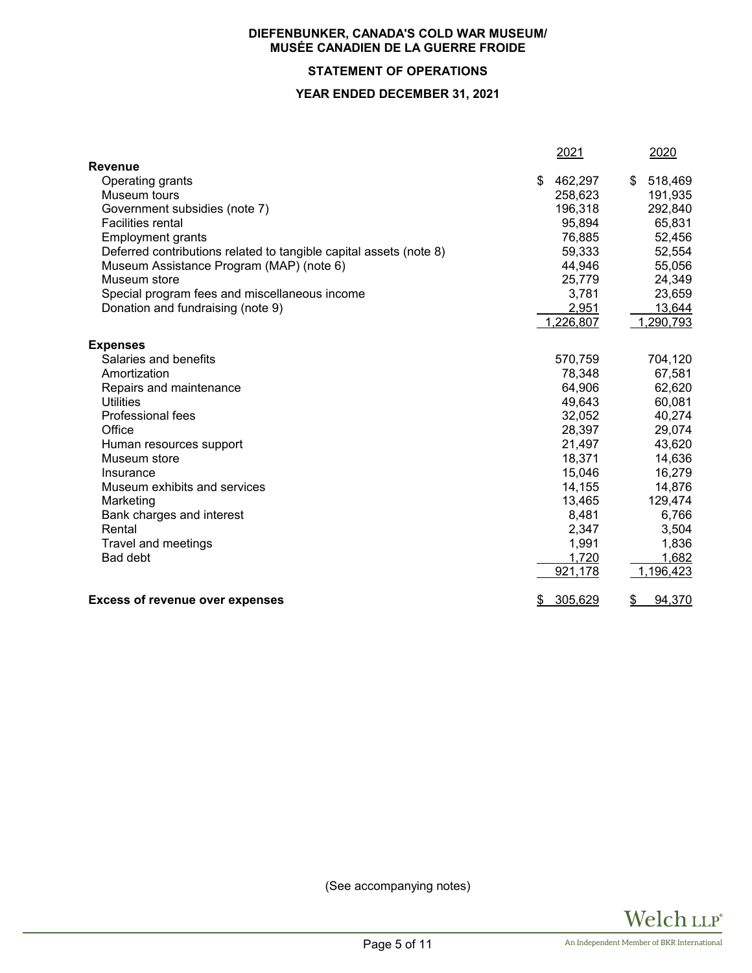# **STATEMENT OF OPERATIONS**

## **YEAR ENDED DECEMBER 31, 2021**

|                                                                    | 2021          | 2020          |
|--------------------------------------------------------------------|---------------|---------------|
| <b>Revenue</b>                                                     |               |               |
| Operating grants                                                   | 462,297       | 518,469<br>\$ |
| Museum tours                                                       | 258,623       | 191,935       |
| Government subsidies (note 7)                                      | 196,318       | 292,840       |
| <b>Facilities rental</b>                                           | 95,894        | 65,831        |
| <b>Employment grants</b>                                           | 76,885        | 52,456        |
| Deferred contributions related to tangible capital assets (note 8) | 59,333        | 52,554        |
| Museum Assistance Program (MAP) (note 6)                           | 44,946        | 55,056        |
| Museum store                                                       | 25,779        | 24,349        |
| Special program fees and miscellaneous income                      | 3,781         | 23,659        |
| Donation and fundraising (note 9)                                  | 2,951         | 13,644        |
|                                                                    | 1,226,807     | 1,290,793     |
| <b>Expenses</b>                                                    |               |               |
| Salaries and benefits                                              | 570,759       | 704,120       |
| Amortization                                                       | 78,348        | 67,581        |
| Repairs and maintenance                                            | 64,906        | 62,620        |
| <b>Utilities</b>                                                   | 49,643        | 60,081        |
| Professional fees                                                  | 32,052        | 40,274        |
| Office                                                             | 28,397        | 29,074        |
| Human resources support                                            | 21,497        | 43,620        |
| Museum store                                                       | 18,371        | 14,636        |
| Insurance                                                          | 15,046        | 16,279        |
| Museum exhibits and services                                       | 14,155        | 14,876        |
| Marketing                                                          | 13,465        | 129,474       |
| Bank charges and interest                                          | 8,481         | 6,766         |
| Rental                                                             | 2,347         | 3,504         |
| Travel and meetings                                                | 1,991         | 1,836         |
| Bad debt                                                           | 1,720         | 1,682         |
|                                                                    | 921,178       | 1,196,423     |
| <b>Excess of revenue over expenses</b>                             | 305,629<br>\$ | 94,370<br>\$  |

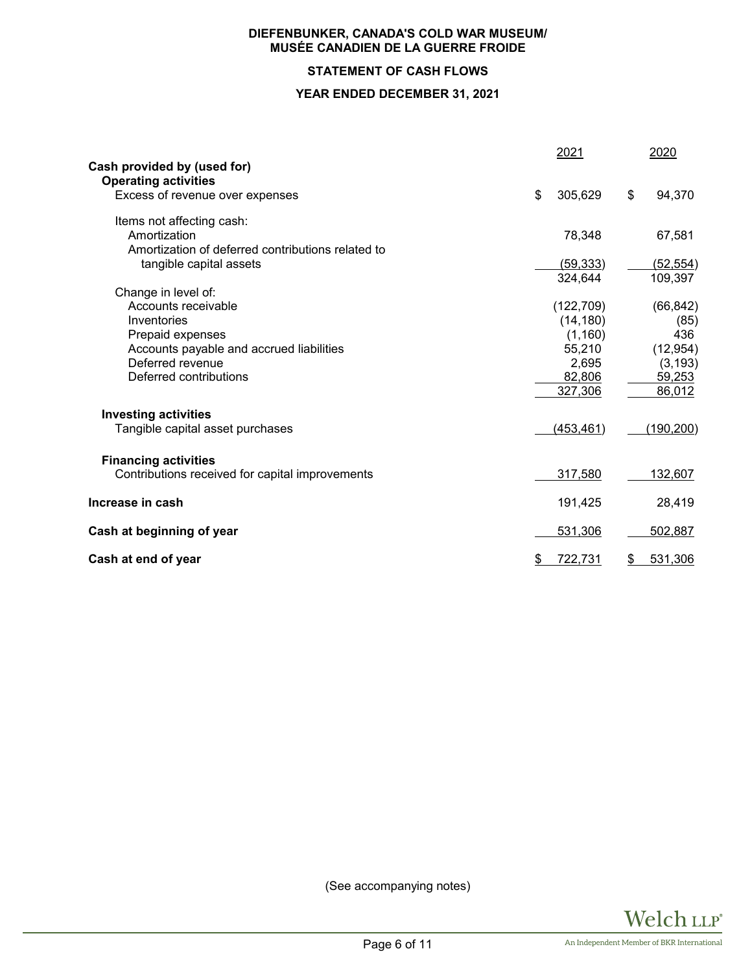# **STATEMENT OF CASH FLOWS**

## **YEAR ENDED DECEMBER 31, 2021**

|                                                                | 2021          | 2020          |
|----------------------------------------------------------------|---------------|---------------|
| Cash provided by (used for)                                    |               |               |
| <b>Operating activities</b><br>Excess of revenue over expenses | \$<br>305,629 | \$<br>94,370  |
|                                                                |               |               |
| Items not affecting cash:                                      |               |               |
| Amortization                                                   | 78,348        | 67,581        |
| Amortization of deferred contributions related to              |               |               |
| tangible capital assets                                        | (59, 333)     | (52, 554)     |
|                                                                | 324,644       | 109,397       |
| Change in level of:                                            |               |               |
| Accounts receivable                                            | (122, 709)    | (66, 842)     |
| Inventories                                                    | (14, 180)     | (85)          |
| Prepaid expenses                                               | (1, 160)      | 436           |
| Accounts payable and accrued liabilities                       | 55,210        | (12, 954)     |
| Deferred revenue                                               | 2,695         | (3, 193)      |
| Deferred contributions                                         | 82,806        | 59,253        |
|                                                                | 327,306       | 86,012        |
| <b>Investing activities</b>                                    |               |               |
| Tangible capital asset purchases                               | (453, 461)    | (190, 200)    |
|                                                                |               |               |
| <b>Financing activities</b>                                    |               |               |
| Contributions received for capital improvements                | 317,580       | 132,607       |
|                                                                |               |               |
| Increase in cash                                               | 191,425       | 28,419        |
| Cash at beginning of year                                      | 531,306       | 502,887       |
|                                                                |               |               |
| Cash at end of year                                            | \$<br>722,731 | \$<br>531,306 |

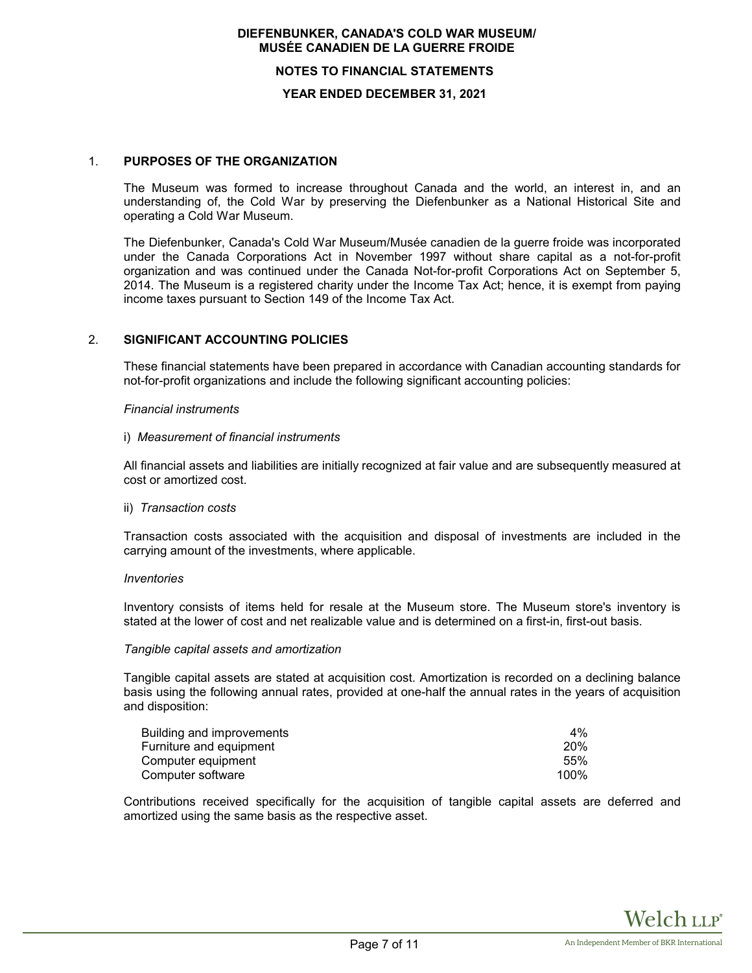#### **NOTES TO FINANCIAL STATEMENTS**

#### **YEAR ENDED DECEMBER 31, 2021**

## 1. **PURPOSES OF THE ORGANIZATION**

The Museum was formed to increase throughout Canada and the world, an interest in, and an understanding of, the Cold War by preserving the Diefenbunker as a National Historical Site and operating a Cold War Museum.

The Diefenbunker, Canada's Cold War Museum/Musée canadien de la guerre froide was incorporated under the Canada Corporations Act in November 1997 without share capital as a not-for-profit organization and was continued under the Canada Not-for-profit Corporations Act on September 5, 2014. The Museum is a registered charity under the Income Tax Act; hence, it is exempt from paying income taxes pursuant to Section 149 of the Income Tax Act.

## 2. **SIGNIFICANT ACCOUNTING POLICIES**

These financial statements have been prepared in accordance with Canadian accounting standards for not-for-profit organizations and include the following significant accounting policies:

#### *Financial instruments*

#### i) *Measurement of financial instruments*

All financial assets and liabilities are initially recognized at fair value and are subsequently measured at cost or amortized cost.

#### ii) *Transaction costs*

Transaction costs associated with the acquisition and disposal of investments are included in the carrying amount of the investments, where applicable.

#### *Inventories*

Inventory consists of items held for resale at the Museum store. The Museum store's inventory is stated at the lower of cost and net realizable value and is determined on a first-in, first-out basis.

#### *Tangible capital assets and amortization*

Tangible capital assets are stated at acquisition cost. Amortization is recorded on a declining balance basis using the following annual rates, provided at one-half the annual rates in the years of acquisition and disposition:

| Building and improvements | 4%         |
|---------------------------|------------|
| Furniture and equipment   | <b>20%</b> |
| Computer equipment        | .55%       |
| Computer software         | 100%       |

Contributions received specifically for the acquisition of tangible capital assets are deferred and amortized using the same basis as the respective asset.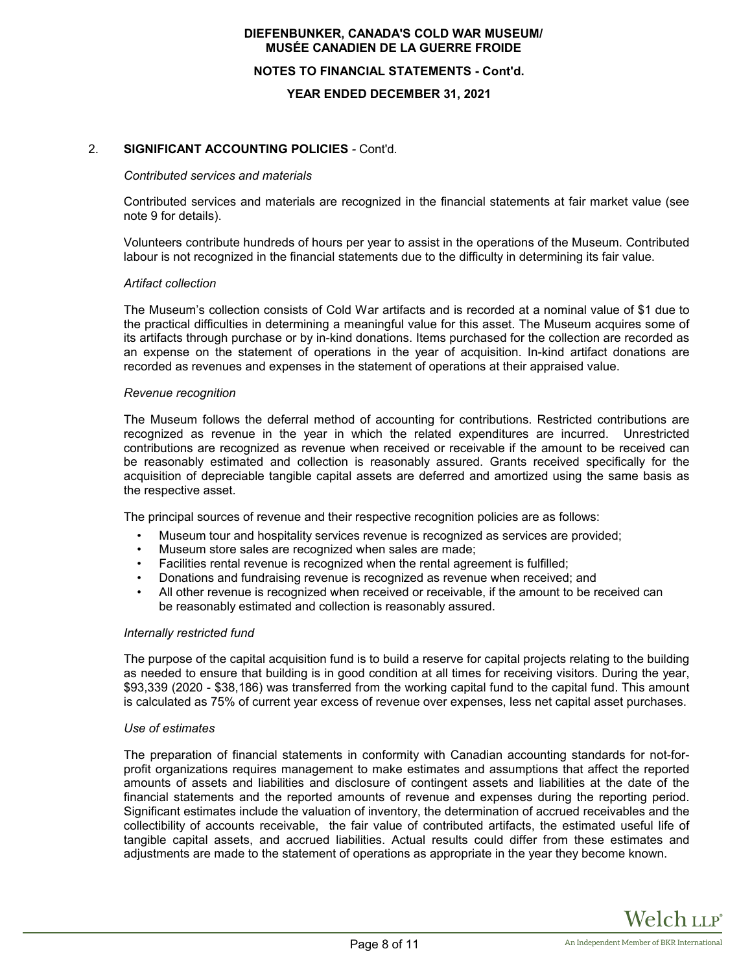#### **NOTES TO FINANCIAL STATEMENTS - Cont'd.**

#### **YEAR ENDED DECEMBER 31, 2021**

## 2. **SIGNIFICANT ACCOUNTING POLICIES** *-* Cont'd*.*

#### *Contributed services and materials*

Contributed services and materials are recognized in the financial statements at fair market value (see note 9 for details).

Volunteers contribute hundreds of hours per year to assist in the operations of the Museum. Contributed labour is not recognized in the financial statements due to the difficulty in determining its fair value.

#### *Artifact collection*

The Museum's collection consists of Cold War artifacts and is recorded at a nominal value of \$1 due to the practical difficulties in determining a meaningful value for this asset. The Museum acquires some of its artifacts through purchase or by in-kind donations. Items purchased for the collection are recorded as an expense on the statement of operations in the year of acquisition. In-kind artifact donations are recorded as revenues and expenses in the statement of operations at their appraised value.

#### *Revenue recognition*

The Museum follows the deferral method of accounting for contributions. Restricted contributions are recognized as revenue in the year in which the related expenditures are incurred. Unrestricted contributions are recognized as revenue when received or receivable if the amount to be received can be reasonably estimated and collection is reasonably assured. Grants received specifically for the acquisition of depreciable tangible capital assets are deferred and amortized using the same basis as the respective asset.

The principal sources of revenue and their respective recognition policies are as follows:

- Museum tour and hospitality services revenue is recognized as services are provided;
- Museum store sales are recognized when sales are made;
- Facilities rental revenue is recognized when the rental agreement is fulfilled;
- Donations and fundraising revenue is recognized as revenue when received; and
- All other revenue is recognized when received or receivable, if the amount to be received can be reasonably estimated and collection is reasonably assured.

## *Internally restricted fund*

The purpose of the capital acquisition fund is to build a reserve for capital projects relating to the building as needed to ensure that building is in good condition at all times for receiving visitors. During the year, \$93,339 (2020 - \$38,186) was transferred from the working capital fund to the capital fund. This amount is calculated as 75% of current year excess of revenue over expenses, less net capital asset purchases.

#### *Use of estimates*

The preparation of financial statements in conformity with Canadian accounting standards for not-forprofit organizations requires management to make estimates and assumptions that affect the reported amounts of assets and liabilities and disclosure of contingent assets and liabilities at the date of the financial statements and the reported amounts of revenue and expenses during the reporting period. Significant estimates include the valuation of inventory, the determination of accrued receivables and the collectibility of accounts receivable, the fair value of contributed artifacts, the estimated useful life of tangible capital assets, and accrued liabilities. Actual results could differ from these estimates and adjustments are made to the statement of operations as appropriate in the year they become known.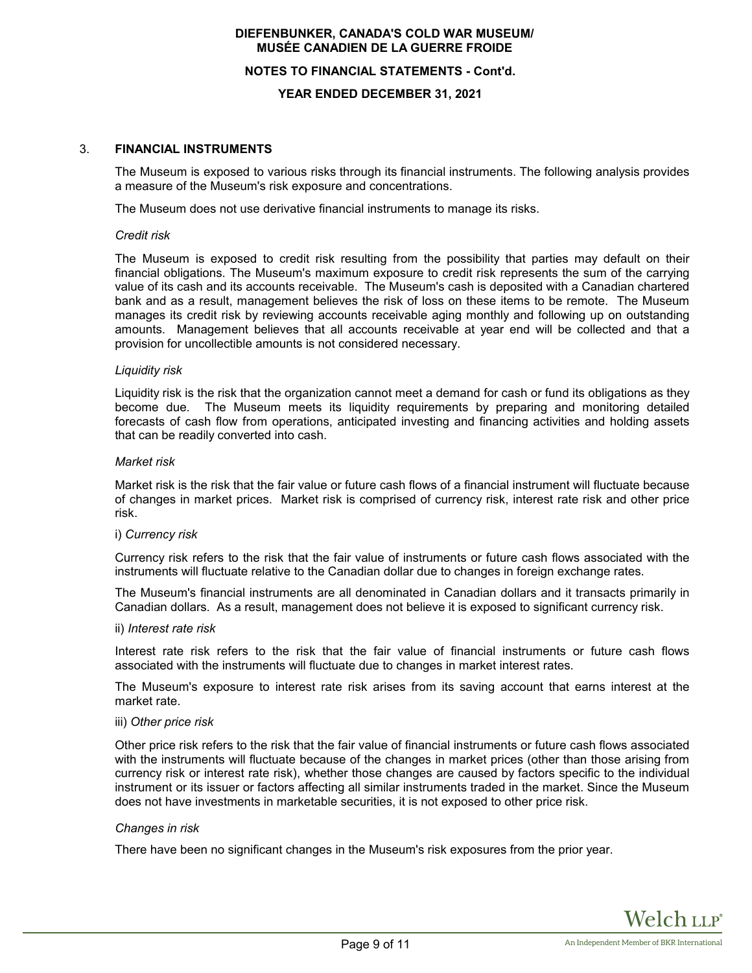## **NOTES TO FINANCIAL STATEMENTS - Cont'd.**

## **YEAR ENDED DECEMBER 31, 2021**

## 3. **FINANCIAL INSTRUMENTS**

The Museum is exposed to various risks through its financial instruments. The following analysis provides a measure of the Museum's risk exposure and concentrations.

The Museum does not use derivative financial instruments to manage its risks.

#### *Credit risk*

The Museum is exposed to credit risk resulting from the possibility that parties may default on their financial obligations. The Museum's maximum exposure to credit risk represents the sum of the carrying value of its cash and its accounts receivable. The Museum's cash is deposited with a Canadian chartered bank and as a result, management believes the risk of loss on these items to be remote. The Museum manages its credit risk by reviewing accounts receivable aging monthly and following up on outstanding amounts. Management believes that all accounts receivable at year end will be collected and that a provision for uncollectible amounts is not considered necessary.

#### *Liquidity risk*

Liquidity risk is the risk that the organization cannot meet a demand for cash or fund its obligations as they become due. The Museum meets its liquidity requirements by preparing and monitoring detailed forecasts of cash flow from operations, anticipated investing and financing activities and holding assets that can be readily converted into cash.

#### *Market risk*

Market risk is the risk that the fair value or future cash flows of a financial instrument will fluctuate because of changes in market prices. Market risk is comprised of currency risk, interest rate risk and other price risk.

## i) *Currency risk*

Currency risk refers to the risk that the fair value of instruments or future cash flows associated with the instruments will fluctuate relative to the Canadian dollar due to changes in foreign exchange rates.

The Museum's financial instruments are all denominated in Canadian dollars and it transacts primarily in Canadian dollars. As a result, management does not believe it is exposed to significant currency risk.

#### ii) *Interest rate risk*

Interest rate risk refers to the risk that the fair value of financial instruments or future cash flows associated with the instruments will fluctuate due to changes in market interest rates.

The Museum's exposure to interest rate risk arises from its saving account that earns interest at the market rate.

#### iii) *Other price risk*

Other price risk refers to the risk that the fair value of financial instruments or future cash flows associated with the instruments will fluctuate because of the changes in market prices (other than those arising from currency risk or interest rate risk), whether those changes are caused by factors specific to the individual instrument or its issuer or factors affecting all similar instruments traded in the market. Since the Museum does not have investments in marketable securities, it is not exposed to other price risk.

## *Changes in risk*

There have been no significant changes in the Museum's risk exposures from the prior year.

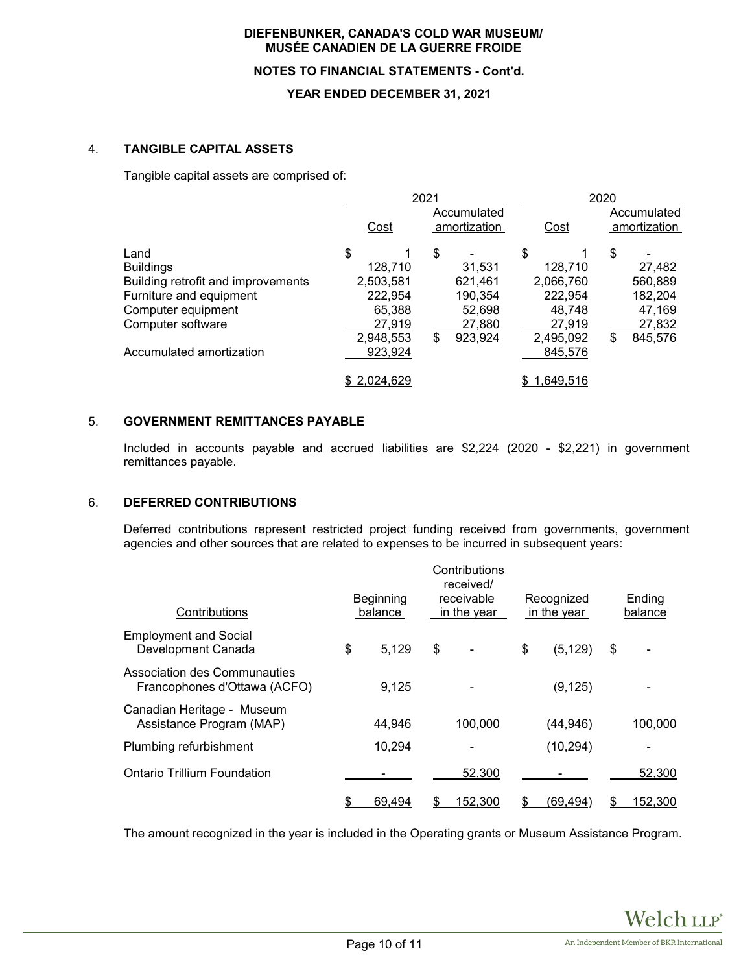## **NOTES TO FINANCIAL STATEMENTS - Cont'd.**

## **YEAR ENDED DECEMBER 31, 2021**

## 4. **TANGIBLE CAPITAL ASSETS**

Tangible capital assets are comprised of:

|                                    |                                     | 2021          | 2020      |                             |  |  |
|------------------------------------|-------------------------------------|---------------|-----------|-----------------------------|--|--|
|                                    | Accumulated<br>Cost<br>amortization |               | Cost      | Accumulated<br>amortization |  |  |
| Land                               | \$                                  | \$            | \$        | \$                          |  |  |
| <b>Buildings</b>                   | 128,710                             | 31.531        | 128,710   | 27,482                      |  |  |
| Building retrofit and improvements | 2,503,581                           | 621,461       | 2,066,760 | 560,889                     |  |  |
| Furniture and equipment            | 222,954                             | 190,354       | 222,954   | 182,204                     |  |  |
| Computer equipment                 | 65,388                              | 52,698        | 48.748    | 47,169                      |  |  |
| Computer software                  | 27,919                              | 27,880        | 27,919    | 27,832                      |  |  |
|                                    | 2,948,553                           | \$<br>923,924 | 2,495,092 | 845,576                     |  |  |
| Accumulated amortization           | 923,924                             |               | 845,576   |                             |  |  |
|                                    | \$2,024,629                         |               | 1,649,516 |                             |  |  |

# 5. **GOVERNMENT REMITTANCES PAYABLE**

Included in accounts payable and accrued liabilities are \$2,224 (2020 - \$2,221) in government remittances payable.

## 6. **DEFERRED CONTRIBUTIONS**

Deferred contributions represent restricted project funding received from governments, government agencies and other sources that are related to expenses to be incurred in subsequent years:

| Contributions                                                | Beginning<br>balance | Contributions<br>received/<br>receivable<br>in the year |    | Recognized<br>in the year | Ending<br>balance |
|--------------------------------------------------------------|----------------------|---------------------------------------------------------|----|---------------------------|-------------------|
| <b>Employment and Social</b><br>Development Canada           | \$<br>5,129          | \$                                                      | \$ | (5, 129)                  | \$                |
| Association des Communauties<br>Francophones d'Ottawa (ACFO) | 9,125                |                                                         |    | (9, 125)                  |                   |
| Canadian Heritage - Museum<br>Assistance Program (MAP)       | 44,946               | 100,000                                                 |    | (44, 946)                 | 100,000           |
| Plumbing refurbishment                                       | 10,294               |                                                         |    | (10, 294)                 |                   |
| Ontario Trillium Foundation                                  |                      | 52,300                                                  |    |                           | 52,300            |
|                                                              | \$<br>69.494         | \$<br>152,300                                           | S  | (69,494)                  | \$<br>152,300     |

The amount recognized in the year is included in the Operating grants or Museum Assistance Program.